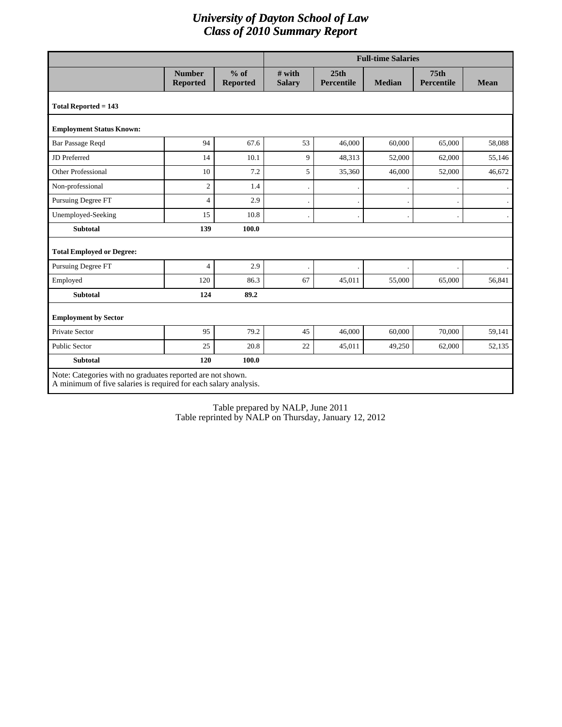## *University of Dayton School of Law Class of 2010 Summary Report*

|                                                                                                                                |                                  |                           | <b>Full-time Salaries</b> |                    |               |                                |             |
|--------------------------------------------------------------------------------------------------------------------------------|----------------------------------|---------------------------|---------------------------|--------------------|---------------|--------------------------------|-------------|
|                                                                                                                                | <b>Number</b><br><b>Reported</b> | $%$ of<br><b>Reported</b> | # with<br><b>Salary</b>   | 25th<br>Percentile | <b>Median</b> | 75 <sub>th</sub><br>Percentile | <b>Mean</b> |
| Total Reported $= 143$                                                                                                         |                                  |                           |                           |                    |               |                                |             |
| <b>Employment Status Known:</b>                                                                                                |                                  |                           |                           |                    |               |                                |             |
| Bar Passage Reqd                                                                                                               | 94                               | 67.6                      | 53                        | 46,000             | 60,000        | 65,000                         | 58,088      |
| JD Preferred                                                                                                                   | 14                               | 10.1                      | 9                         | 48,313             | 52,000        | 62,000                         | 55,146      |
| <b>Other Professional</b>                                                                                                      | 10                               | 7.2                       | 5                         | 35,360             | 46,000        | 52,000                         | 46,672      |
| Non-professional                                                                                                               | $\overline{2}$                   | 1.4                       |                           |                    |               |                                |             |
| Pursuing Degree FT                                                                                                             | $\overline{4}$                   | 2.9                       |                           |                    |               |                                |             |
| Unemployed-Seeking                                                                                                             | 15                               | 10.8                      |                           |                    |               |                                |             |
| <b>Subtotal</b>                                                                                                                | 139                              | 100.0                     |                           |                    |               |                                |             |
| <b>Total Employed or Degree:</b>                                                                                               |                                  |                           |                           |                    |               |                                |             |
| <b>Pursuing Degree FT</b>                                                                                                      | $\overline{4}$                   | 2.9                       |                           |                    |               |                                |             |
| Employed                                                                                                                       | 120                              | 86.3                      | 67                        | 45,011             | 55,000        | 65,000                         | 56,841      |
| <b>Subtotal</b>                                                                                                                | 124                              | 89.2                      |                           |                    |               |                                |             |
| <b>Employment by Sector</b>                                                                                                    |                                  |                           |                           |                    |               |                                |             |
| Private Sector                                                                                                                 | 95                               | 79.2                      | 45                        | 46,000             | 60,000        | 70,000                         | 59,141      |
| <b>Public Sector</b>                                                                                                           | 25                               | 20.8                      | 22                        | 45,011             | 49,250        | 62,000                         | 52,135      |
| <b>Subtotal</b>                                                                                                                | 120                              | 100.0                     |                           |                    |               |                                |             |
| Note: Categories with no graduates reported are not shown.<br>A minimum of five salaries is required for each salary analysis. |                                  |                           |                           |                    |               |                                |             |

Table prepared by NALP, June 2011 Table reprinted by NALP on Thursday, January 12, 2012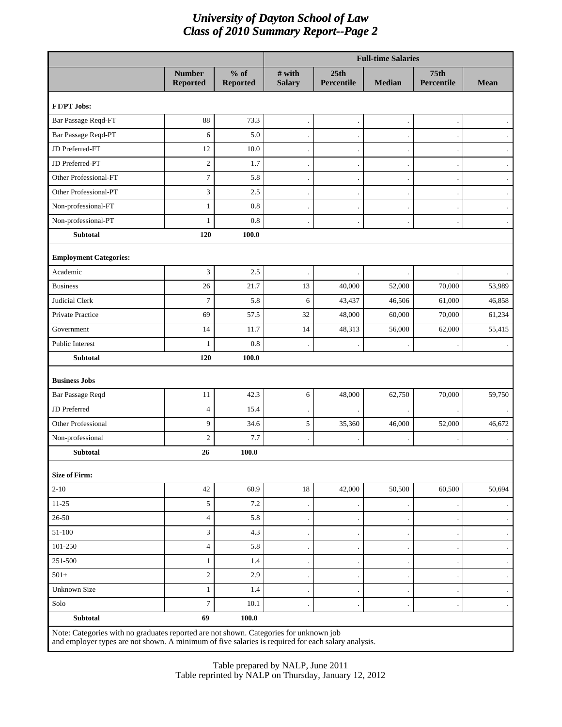## *University of Dayton School of Law Class of 2010 Summary Report--Page 2*

|                                                                                                                                                                                             |                                  |                           | <b>Full-time Salaries</b> |                    |        |                                |                      |
|---------------------------------------------------------------------------------------------------------------------------------------------------------------------------------------------|----------------------------------|---------------------------|---------------------------|--------------------|--------|--------------------------------|----------------------|
|                                                                                                                                                                                             | <b>Number</b><br><b>Reported</b> | $%$ of<br><b>Reported</b> | $#$ with<br><b>Salary</b> | 25th<br>Percentile | Median | 75 <sub>th</sub><br>Percentile | <b>Mean</b>          |
| FT/PT Jobs:                                                                                                                                                                                 |                                  |                           |                           |                    |        |                                |                      |
| Bar Passage Reqd-FT                                                                                                                                                                         | 88                               | 73.3                      |                           |                    |        |                                | $\bullet$            |
| Bar Passage Reqd-PT                                                                                                                                                                         | 6                                | 5.0                       |                           |                    |        |                                |                      |
| JD Preferred-FT                                                                                                                                                                             | 12                               | 10.0                      |                           |                    |        |                                | $\cdot$              |
| JD Preferred-PT                                                                                                                                                                             | $\sqrt{2}$                       | 1.7                       |                           |                    |        |                                |                      |
| Other Professional-FT                                                                                                                                                                       | $\boldsymbol{7}$                 | 5.8                       |                           |                    |        |                                | $\blacksquare$       |
| Other Professional-PT                                                                                                                                                                       | 3                                | 2.5                       |                           |                    |        |                                | $\blacksquare$       |
| Non-professional-FT                                                                                                                                                                         | $\mathbf{1}$                     | 0.8                       |                           |                    |        |                                |                      |
| Non-professional-PT                                                                                                                                                                         | $\mathbf{1}$                     | 0.8                       |                           |                    |        |                                | $\bullet$            |
| <b>Subtotal</b>                                                                                                                                                                             | 120                              | 100.0                     |                           |                    |        |                                |                      |
| <b>Employment Categories:</b>                                                                                                                                                               |                                  |                           |                           |                    |        |                                |                      |
| Academic                                                                                                                                                                                    | 3                                | 2.5                       |                           |                    |        |                                |                      |
| <b>Business</b>                                                                                                                                                                             | 26                               | 21.7                      | 13                        | 40,000             | 52,000 | 70,000                         | 53,989               |
| <b>Judicial Clerk</b>                                                                                                                                                                       | $\tau$                           | 5.8                       | 6                         | 43,437             | 46,506 | 61,000                         | 46,858               |
| Private Practice                                                                                                                                                                            | 69                               | 57.5                      | 32                        | 48,000             | 60,000 | 70,000                         | 61,234               |
| Government                                                                                                                                                                                  | 14                               | 11.7                      | 14                        | 48,313             | 56,000 | 62,000                         | 55,415               |
| Public Interest                                                                                                                                                                             | 1                                | 0.8                       |                           |                    |        |                                |                      |
| <b>Subtotal</b>                                                                                                                                                                             | 120                              | 100.0                     |                           |                    |        |                                |                      |
| <b>Business Jobs</b>                                                                                                                                                                        |                                  |                           |                           |                    |        |                                |                      |
| Bar Passage Reqd                                                                                                                                                                            | 11                               | 42.3                      | 6                         | 48,000             | 62,750 | 70,000                         | 59,750               |
| JD Preferred                                                                                                                                                                                | $\overline{4}$                   | 15.4                      |                           |                    |        |                                |                      |
| <b>Other Professional</b>                                                                                                                                                                   | 9                                | 34.6                      | 5                         | 35,360             | 46,000 | 52,000                         | 46,672               |
| Non-professional                                                                                                                                                                            | $\overline{c}$                   | 7.7                       |                           |                    |        |                                |                      |
| <b>Subtotal</b>                                                                                                                                                                             | 26                               | 100.0                     |                           |                    |        |                                |                      |
| <b>Size of Firm:</b>                                                                                                                                                                        |                                  |                           |                           |                    |        |                                |                      |
| $2 - 10$                                                                                                                                                                                    | 42                               | 60.9                      | 18                        | 42,000             | 50,500 | 60,500                         | 50,694               |
| $11 - 25$                                                                                                                                                                                   | 5                                | 7.2                       |                           |                    |        |                                |                      |
| $26 - 50$                                                                                                                                                                                   | $\overline{4}$                   | 5.8                       |                           |                    |        |                                | $\bullet$            |
| 51-100                                                                                                                                                                                      | 3                                | 4.3                       |                           |                    |        |                                | $\ddot{\phantom{0}}$ |
| 101-250                                                                                                                                                                                     | $\overline{\mathbf{4}}$          | 5.8                       |                           |                    |        |                                |                      |
| 251-500                                                                                                                                                                                     | $\mathbf{1}$                     | 1.4                       |                           |                    |        |                                | $\bullet$            |
| $501+$                                                                                                                                                                                      | $\boldsymbol{2}$                 | 2.9                       |                           |                    |        |                                |                      |
| Unknown Size                                                                                                                                                                                | $\mathbf{1}$                     | 1.4                       |                           |                    |        |                                | $\ddot{\phantom{0}}$ |
| Solo                                                                                                                                                                                        | $\tau$                           | 10.1                      |                           |                    |        |                                | $\ddot{\phantom{0}}$ |
| <b>Subtotal</b>                                                                                                                                                                             | 69                               | 100.0                     |                           |                    |        |                                |                      |
| Note: Categories with no graduates reported are not shown. Categories for unknown job<br>and employer types are not shown. A minimum of five salaries is required for each salary analysis. |                                  |                           |                           |                    |        |                                |                      |

Table prepared by NALP, June 2011 Table reprinted by NALP on Thursday, January 12, 2012